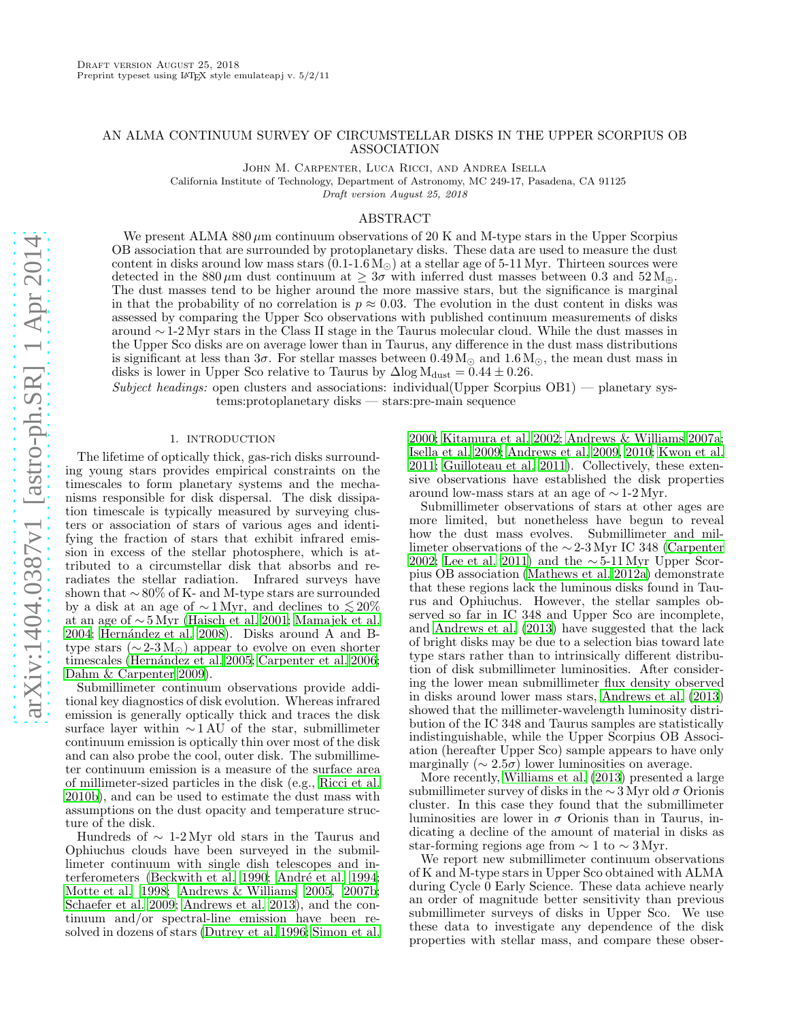## AN ALMA CONTINUUM SURVEY OF CIRCUMSTELLAR DISKS IN THE UPPER SCORPIUS OB ASSOCIATION

John M. Carpenter, Luca Ricci, and Andrea Isella

California Institute of Technology, Department of Astronomy, MC 249-17, Pasadena, CA 91125

Draft version August 25, 2018

### ABSTRACT

We present ALMA  $880 \mu m$  continuum observations of 20 K and M-type stars in the Upper Scorpius OB association that are surrounded by protoplanetary disks. These data are used to measure the dust content in disks around low mass stars  $(0.1-1.6 M_{\odot})$  at a stellar age of 5-11 Myr. Thirteen sources were detected in the  $880 \,\mu$ m dust continuum at  $\geq 3\sigma$  with inferred dust masses between 0.3 and  $52 M_{\oplus}$ . The dust masses tend to be higher around the more massive stars, but the significance is marginal in that the probability of no correlation is  $p \approx 0.03$ . The evolution in the dust content in disks was assessed by comparing the Upper Sco observations with published continuum measurements of disks around ∼ 1-2 Myr stars in the Class II stage in the Taurus molecular cloud. While the dust masses in the Upper Sco disks are on average lower than in Taurus, any difference in the dust mass distributions is significant at less than  $3\sigma$ . For stellar masses between  $0.49 M_{\odot}$  and  $1.6 M_{\odot}$ , the mean dust mass in disks is lower in Upper Sco relative to Taurus by  $\Delta$ log M<sub>dust</sub> = 0.44 ± 0.26.

Subject headings: open clusters and associations: individual(Upper Scorpius OB1) — planetary systems:protoplanetary disks — stars:pre-main sequence

### 1. INTRODUCTION

The lifetime of optically thick, gas-rich disks surrounding young stars provides empirical constraints on the timescales to form planetary systems and the mechanisms responsible for disk dispersal. The disk dissipation timescale is typically measured by surveying clusters or association of stars of various ages and identifying the fraction of stars that exhibit infrared emission in excess of the stellar photosphere, which is attributed to a circumstellar disk that absorbs and reradiates the stellar radiation. Infrared surveys have shown that ∼ 80% of K- and M-type stars are surrounded by a disk at an age of  $\sim 1 \,\text{Myr}$ , and declines to  $\lesssim 20\%$ at an age of ∼ 5 Myr [\(Haisch et al. 2001](#page-5-0); [Mamajek et al.](#page-6-0) [2004;](#page-6-0) Hernández et al. 2008). Disks around A and Btype stars ( $\sim$  2-3 M<sub>☉</sub>) appear to evolve on even shorter timescales (Hernández et al. 2005; [Carpenter et al. 2006;](#page-5-3) [Dahm & Carpenter 2009\)](#page-5-4).

Submillimeter continuum observations provide additional key diagnostics of disk evolution. Whereas infrared emission is generally optically thick and traces the disk surface layer within  $\sim$  1 AU of the star, submillimeter continuum emission is optically thin over most of the disk and can also probe the cool, outer disk. The submillimeter continuum emission is a measure of the surface area of millimeter-sized particles in the disk (e.g., [Ricci et al.](#page-6-1) [2010b](#page-6-1)), and can be used to estimate the dust mass with assumptions on the dust opacity and temperature structure of the disk.

Hundreds of ∼ 1-2 Myr old stars in the Taurus and Ophiuchus clouds have been surveyed in the submillimeter continuum with single dish telescopes and in-terferometers [\(Beckwith et al. 1990;](#page-5-5) André et al. 1994; [Motte et al. 1998;](#page-6-2) [Andrews & Williams 2005](#page-5-7), [2007b;](#page-5-8) [Schaefer et al. 2009;](#page-6-3) [Andrews et al. 2013](#page-5-9)), and the continuum and/or spectral-line emission have been resolved in dozens of stars [\(Dutrey et al. 1996;](#page-5-10) [Simon et al.](#page-6-4)

[2000;](#page-6-4) [Kitamura et al. 2002](#page-5-11); [Andrews & Williams 2007a](#page-5-12); [Isella et al. 2009;](#page-5-13) [Andrews et al. 2009](#page-5-14), [2010;](#page-5-15) [Kwon et al.](#page-5-16) [2011;](#page-5-16) [Guilloteau et al. 2011](#page-5-17)). Collectively, these extensive observations have established the disk properties around low-mass stars at an age of  $\sim$  1-2 Myr.

Submillimeter observations of stars at other ages are more limited, but nonetheless have begun to reveal how the dust mass evolves. Submillimeter and millimeter observations of the ∼ 2-3 Myr IC 348 [\(Carpenter](#page-5-18) [2002;](#page-5-18) [Lee et al. 2011\)](#page-5-19) and the  $\sim$  5-11 Myr Upper Scorpius OB association [\(Mathews et al. 2012a\)](#page-6-5) demonstrate that these regions lack the luminous disks found in Taurus and Ophiuchus. However, the stellar samples observed so far in IC 348 and Upper Sco are incomplete, and [Andrews et al. \(2013\)](#page-5-9) have suggested that the lack of bright disks may be due to a selection bias toward late type stars rather than to intrinsically different distribution of disk submillimeter luminosities. After considering the lower mean submillimeter flux density observed in disks around lower mass stars, [Andrews et al. \(2013](#page-5-9)) showed that the millimeter-wavelength luminosity distribution of the IC 348 and Taurus samples are statistically indistinguishable, while the Upper Scorpius OB Association (hereafter Upper Sco) sample appears to have only marginally ( $\sim 2.5\sigma$ ) lower luminosities on average.

More recently, [Williams et al. \(2013\)](#page-6-6) presented a large submillimeter survey of disks in the  $\sim$  3 Myr old  $\sigma$  Orionis cluster. In this case they found that the submillimeter luminosities are lower in  $\sigma$  Orionis than in Taurus, indicating a decline of the amount of material in disks as star-forming regions age from  $\sim 1$  to  $\sim 3$  Myr.

We report new submillimeter continuum observations of K and M-type stars in Upper Sco obtained with ALMA during Cycle 0 Early Science. These data achieve nearly an order of magnitude better sensitivity than previous submillimeter surveys of disks in Upper Sco. We use these data to investigate any dependence of the disk properties with stellar mass, and compare these obser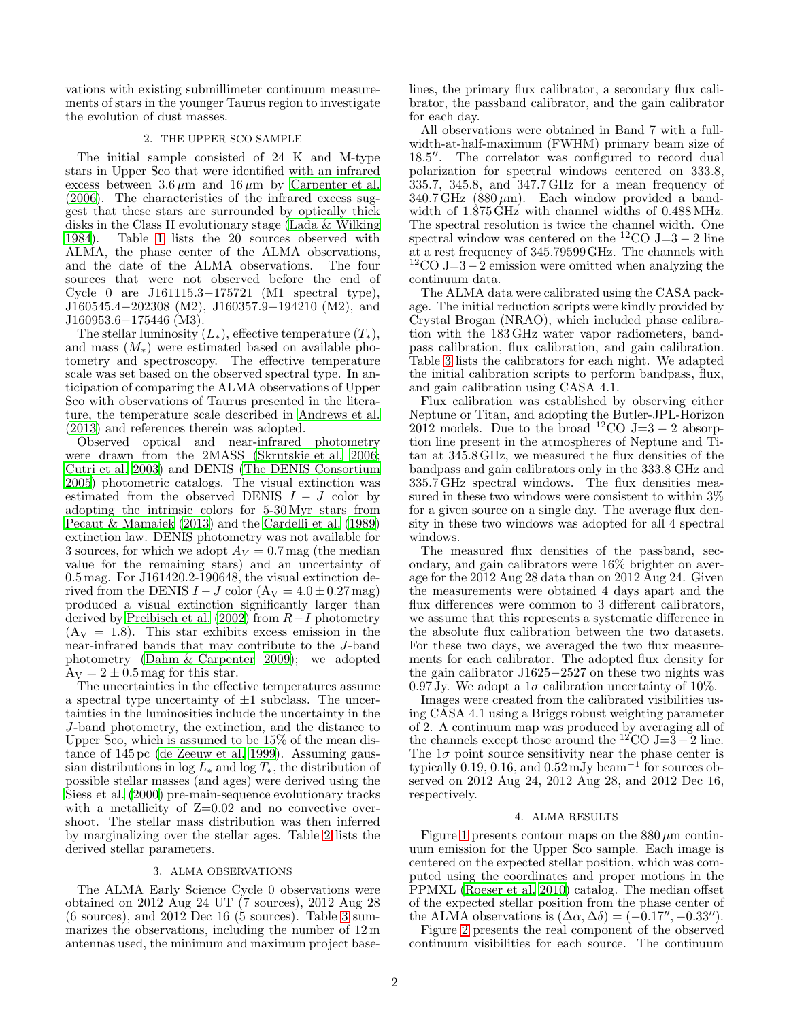vations with existing submillimeter continuum measurements of stars in the younger Taurus region to investigate the evolution of dust masses.

### 2. THE UPPER SCO SAMPLE

<span id="page-1-0"></span>The initial sample consisted of 24 K and M-type stars in Upper Sco that were identified with an infrared excess between  $3.6 \mu m$  and  $16 \mu m$  by [Carpenter et al.](#page-5-3) [\(2006\)](#page-5-3). The characteristics of the infrared excess suggest that these stars are surrounded by optically thick disks in the Class II evolutionary stage [\(Lada & Wilking](#page-5-20) [1984\)](#page-5-20). Table [1](#page-12-0) lists the 20 sources observed with ALMA, the phase center of the ALMA observations, and the date of the ALMA observations. The four sources that were not observed before the end of Cycle 0 are J161115.3−175721 (M1 spectral type), J160545.4−202308 (M2), J160357.9−194210 (M2), and J160953.6−175446 (M3).

The stellar luminosity  $(L_*)$ , effective temperature  $(T_*)$ , and mass  $(M_*)$  were estimated based on available photometry and spectroscopy. The effective temperature scale was set based on the observed spectral type. In anticipation of comparing the ALMA observations of Upper Sco with observations of Taurus presented in the literature, the temperature scale described in [Andrews et al.](#page-5-9) [\(2013\)](#page-5-9) and references therein was adopted.

Observed optical and near-infrared photometry were drawn from the 2MASS [\(Skrutskie et al. 2006;](#page-6-7) [Cutri et al. 2003](#page-5-21)) and DENIS [\(The DENIS Consortium](#page-6-8) [2005\)](#page-6-8) photometric catalogs. The visual extinction was estimated from the observed DENIS  $I - J$  color by adopting the intrinsic colors for 5-30Myr stars from [Pecaut & Mamajek \(2013](#page-6-9)) and the [Cardelli et al. \(1989](#page-5-22)) extinction law. DENIS photometry was not available for 3 sources, for which we adopt  $A_V = 0.7$  mag (the median value for the remaining stars) and an uncertainty of 0.5 mag. For J161420.2-190648, the visual extinction derived from the DENIS  $I - J$  color  $(A_V = 4.0 \pm 0.27$  mag) produced a visual extinction significantly larger than derived by [Preibisch et al. \(2002\)](#page-6-10) from  $R-I$  photometry  $(A<sub>V</sub> = 1.8)$ . This star exhibits excess emission in the near-infrared bands that may contribute to the J-band photometry [\(Dahm & Carpenter 2009\)](#page-5-4); we adopted  $A_V = 2 \pm 0.5$  mag for this star.

The uncertainties in the effective temperatures assume a spectral type uncertainty of  $\pm 1$  subclass. The uncertainties in the luminosities include the uncertainty in the J-band photometry, the extinction, and the distance to Upper Sco, which is assumed to be 15% of the mean distance of 145 pc [\(de Zeeuw et al. 1999\)](#page-5-23). Assuming gaussian distributions in  $\log L_*$  and  $\log T_*$ , the distribution of possible stellar masses (and ages) were derived using the [Siess et al. \(2000](#page-6-11)) pre-main-sequence evolutionary tracks with a metallicity of  $Z=0.02$  and no convective overshoot. The stellar mass distribution was then inferred by marginalizing over the stellar ages. Table [2](#page-13-0) lists the derived stellar parameters.

### 3. ALMA OBSERVATIONS

The ALMA Early Science Cycle 0 observations were obtained on 2012 Aug 24 UT ( $\tilde{7}$  sources), 2012 Aug 28  $(6 \text{ sources})$ , and  $2012 \text{ Dec } 16 \text{ (5 sources)}$ . Table [3](#page-14-0) summarizes the observations, including the number of 12 m antennas used, the minimum and maximum project baselines, the primary flux calibrator, a secondary flux calibrator, the passband calibrator, and the gain calibrator for each day.

All observations were obtained in Band 7 with a fullwidth-at-half-maximum (FWHM) primary beam size of 18.5′′. The correlator was configured to record dual polarization for spectral windows centered on 333.8, 335.7, 345.8, and 347.7 GHz for a mean frequency of  $340.7 \text{ GHz}$  (880  $\mu$ m). Each window provided a bandwidth of 1.875 GHz with channel widths of 0.488MHz. The spectral resolution is twice the channel width. One spectral window was centered on the  ${}^{12}CO$  J=3 – 2 line at a rest frequency of 345.79599GHz. The channels with  $12$ CO J=3 $-2$  emission were omitted when analyzing the continuum data.

The ALMA data were calibrated using the CASA package. The initial reduction scripts were kindly provided by Crystal Brogan (NRAO), which included phase calibration with the 183 GHz water vapor radiometers, bandpass calibration, flux calibration, and gain calibration. Table [3](#page-14-0) lists the calibrators for each night. We adapted the initial calibration scripts to perform bandpass, flux, and gain calibration using CASA 4.1.

Flux calibration was established by observing either Neptune or Titan, and adopting the Butler-JPL-Horizon  $2012$  models. Due to the broad  ${}^{12}CO$  J=3 – 2 absorption line present in the atmospheres of Neptune and Titan at 345.8 GHz, we measured the flux densities of the bandpass and gain calibrators only in the 333.8 GHz and 335.7 GHz spectral windows. The flux densities measured in these two windows were consistent to within 3% for a given source on a single day. The average flux density in these two windows was adopted for all 4 spectral windows.

The measured flux densities of the passband, secondary, and gain calibrators were 16% brighter on average for the 2012 Aug 28 data than on 2012 Aug 24. Given the measurements were obtained 4 days apart and the flux differences were common to 3 different calibrators, we assume that this represents a systematic difference in the absolute flux calibration between the two datasets. For these two days, we averaged the two flux measurements for each calibrator. The adopted flux density for the gain calibrator J1625−2527 on these two nights was 0.97 Jy. We adopt a  $1\sigma$  calibration uncertainty of 10%.

Images were created from the calibrated visibilities using CASA 4.1 using a Briggs robust weighting parameter of 2. A continuum map was produced by averaging all of the channels except those around the  $12^{\circ}$ CO J=3−2 line. The  $1\sigma$  point source sensitivity near the phase center is typically 0.19, 0.16, and  $0.52 \text{ mJy beam}^{-1}$  for sources observed on 2012 Aug 24, 2012 Aug 28, and 2012 Dec 16, respectively.

#### 4. ALMA RESULTS

Figure [1](#page-7-0) presents contour maps on the  $880 \mu m$  continuum emission for the Upper Sco sample. Each image is centered on the expected stellar position, which was computed using the coordinates and proper motions in the PPMXL [\(Roeser et al. 2010\)](#page-6-12) catalog. The median offset of the expected stellar position from the phase center of the ALMA observations is  $(\Delta \alpha, \Delta \delta) = (-0.17'', -0.33'')$ .

Figure [2](#page-8-0) presents the real component of the observed continuum visibilities for each source. The continuum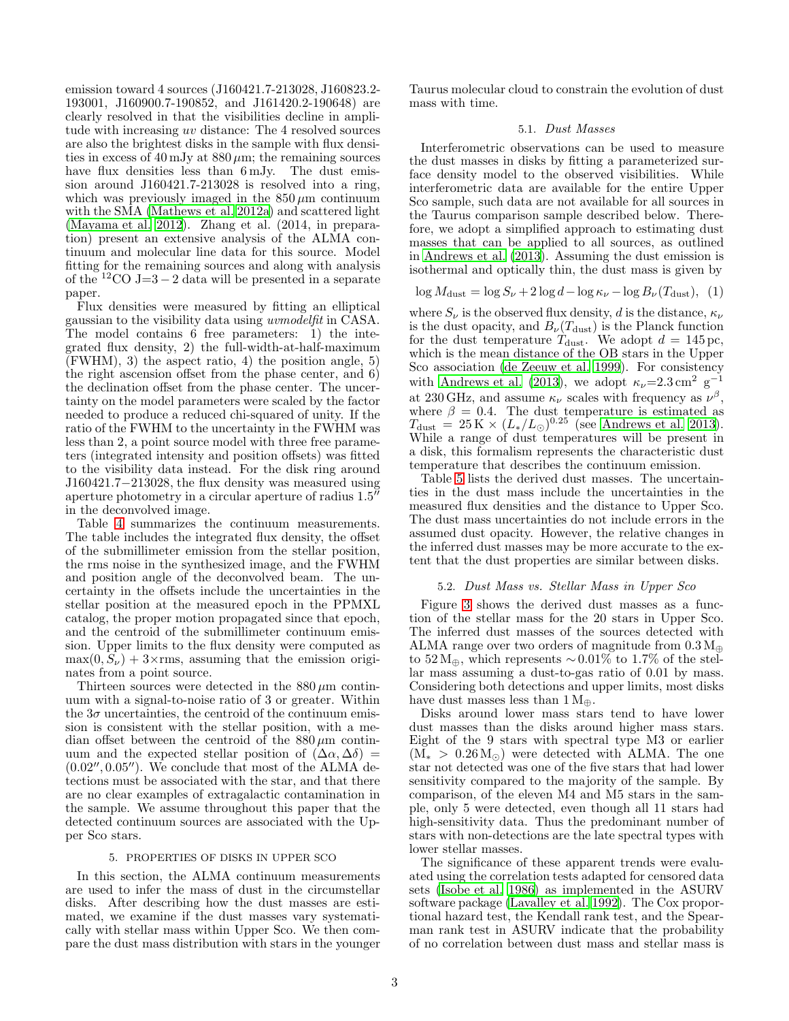emission toward 4 sources (J160421.7-213028, J160823.2- 193001, J160900.7-190852, and J161420.2-190648) are clearly resolved in that the visibilities decline in amplitude with increasing  $uv$  distance: The 4 resolved sources are also the brightest disks in the sample with flux densities in excess of  $40 \,\mathrm{mJy}$  at  $880 \,\mathrm{\mu m}$ ; the remaining sources have flux densities less than 6 mJy. The dust emission around J160421.7-213028 is resolved into a ring, which was previously imaged in the  $850 \mu m$  continuum with the SMA [\(Mathews et al. 2012a\)](#page-6-5) and scattered light [\(Mayama et al. 2012\)](#page-6-13). Zhang et al. (2014, in preparation) present an extensive analysis of the ALMA continuum and molecular line data for this source. Model fitting for the remaining sources and along with analysis of the  ${}^{12}CO$  J=3 – 2 data will be presented in a separate paper.

Flux densities were measured by fitting an elliptical gaussian to the visibility data using *uvmodelfit* in CASA. The model contains 6 free parameters: 1) the integrated flux density, 2) the full-width-at-half-maximum  $(FWHM)$ , 3) the aspect ratio, 4) the position angle, 5) the right ascension offset from the phase center, and 6) the declination offset from the phase center. The uncertainty on the model parameters were scaled by the factor needed to produce a reduced chi-squared of unity. If the ratio of the FWHM to the uncertainty in the FWHM was less than 2, a point source model with three free parameters (integrated intensity and position offsets) was fitted to the visibility data instead. For the disk ring around J160421.7−213028, the flux density was measured using aperture photometry in a circular aperture of radius 1.5′′ in the deconvolved image.

Table [4](#page-15-0) summarizes the continuum measurements. The table includes the integrated flux density, the offset of the submillimeter emission from the stellar position, the rms noise in the synthesized image, and the FWHM and position angle of the deconvolved beam. The uncertainty in the offsets include the uncertainties in the stellar position at the measured epoch in the PPMXL catalog, the proper motion propagated since that epoch, and the centroid of the submillimeter continuum emission. Upper limits to the flux density were computed as  $\max(0, S_{\nu}) + 3 \times \text{rms}$ , assuming that the emission originates from a point source.

Thirteen sources were detected in the  $880 \,\mu \mathrm{m}$  continuum with a signal-to-noise ratio of 3 or greater. Within the  $3\sigma$  uncertainties, the centroid of the continuum emission is consistent with the stellar position, with a median offset between the centroid of the  $880 \,\mu m$  continuum and the expected stellar position of  $(\Delta \alpha, \Delta \delta)$  =  $(0.02'', 0.05'')$ . We conclude that most of the ALMA detections must be associated with the star, and that there are no clear examples of extragalactic contamination in the sample. We assume throughout this paper that the detected continuum sources are associated with the Upper Sco stars.

### 5. PROPERTIES OF DISKS IN UPPER SCO

In this section, the ALMA continuum measurements are used to infer the mass of dust in the circumstellar disks. After describing how the dust masses are estimated, we examine if the dust masses vary systematically with stellar mass within Upper Sco. We then compare the dust mass distribution with stars in the younger Taurus molecular cloud to constrain the evolution of dust mass with time.

## 5.1. Dust Masses

Interferometric observations can be used to measure the dust masses in disks by fitting a parameterized surface density model to the observed visibilities. While interferometric data are available for the entire Upper Sco sample, such data are not available for all sources in the Taurus comparison sample described below. Therefore, we adopt a simplified approach to estimating dust masses that can be applied to all sources, as outlined in [Andrews et al. \(2013\)](#page-5-9). Assuming the dust emission is isothermal and optically thin, the dust mass is given by

$$
\log M_{\rm dust} = \log S_{\nu} + 2\log d - \log \kappa_{\nu} - \log B_{\nu}(T_{\rm dust}), (1)
$$

where  $S_{\nu}$  is the observed flux density, d is the distance,  $\kappa_{\nu}$ is the dust opacity, and  $B_{\nu}(T_{\text{dust}})$  is the Planck function for the dust temperature  $T_{\text{dust}}$ . We adopt  $d = 145 \,\text{pc}$ , which is the mean distance of the OB stars in the Upper Sco association [\(de Zeeuw et al. 1999\)](#page-5-23). For consistency with [Andrews et al. \(2013\)](#page-5-9), we adopt  $\kappa_{\nu}$ =2.3 cm<sup>2</sup> g<sup>-1</sup> at 230 GHz, and assume  $\kappa_{\nu}$  scales with frequency as  $\nu^{\beta}$ , where  $\beta = 0.4$ . The dust temperature is estimated as  $T_{\text{dust}} = 25 \,\text{K} \times (L_*/L_{\odot})^{0.25}$  (see [Andrews et al. 2013](#page-5-9)). While a range of dust temperatures will be present in a disk, this formalism represents the characteristic dust temperature that describes the continuum emission.

Table [5](#page-16-0) lists the derived dust masses. The uncertainties in the dust mass include the uncertainties in the measured flux densities and the distance to Upper Sco. The dust mass uncertainties do not include errors in the assumed dust opacity. However, the relative changes in the inferred dust masses may be more accurate to the extent that the dust properties are similar between disks.

# 5.2. Dust Mass vs. Stellar Mass in Upper Sco

Figure [3](#page-9-0) shows the derived dust masses as a function of the stellar mass for the 20 stars in Upper Sco. The inferred dust masses of the sources detected with ALMA range over two orders of magnitude from  $0.3 M_{\oplus}$ to  $52 M_{\oplus}$ , which represents ~0.01% to 1.7% of the stellar mass assuming a dust-to-gas ratio of 0.01 by mass. Considering both detections and upper limits, most disks have dust masses less than  $1 M_{\oplus}$ .

Disks around lower mass stars tend to have lower dust masses than the disks around higher mass stars. Eight of the 9 stars with spectral type M3 or earlier  $(M_* > 0.26 M_{\odot})$  were detected with ALMA. The one star not detected was one of the five stars that had lower sensitivity compared to the majority of the sample. By comparison, of the eleven M4 and M5 stars in the sample, only 5 were detected, even though all 11 stars had high-sensitivity data. Thus the predominant number of stars with non-detections are the late spectral types with lower stellar masses.

The significance of these apparent trends were evaluated using the correlation tests adapted for censored data sets [\(Isobe et al. 1986\)](#page-5-24) as implemented in the ASURV software package [\(Lavalley et al. 1992\)](#page-5-25). The Cox proportional hazard test, the Kendall rank test, and the Spearman rank test in ASURV indicate that the probability of no correlation between dust mass and stellar mass is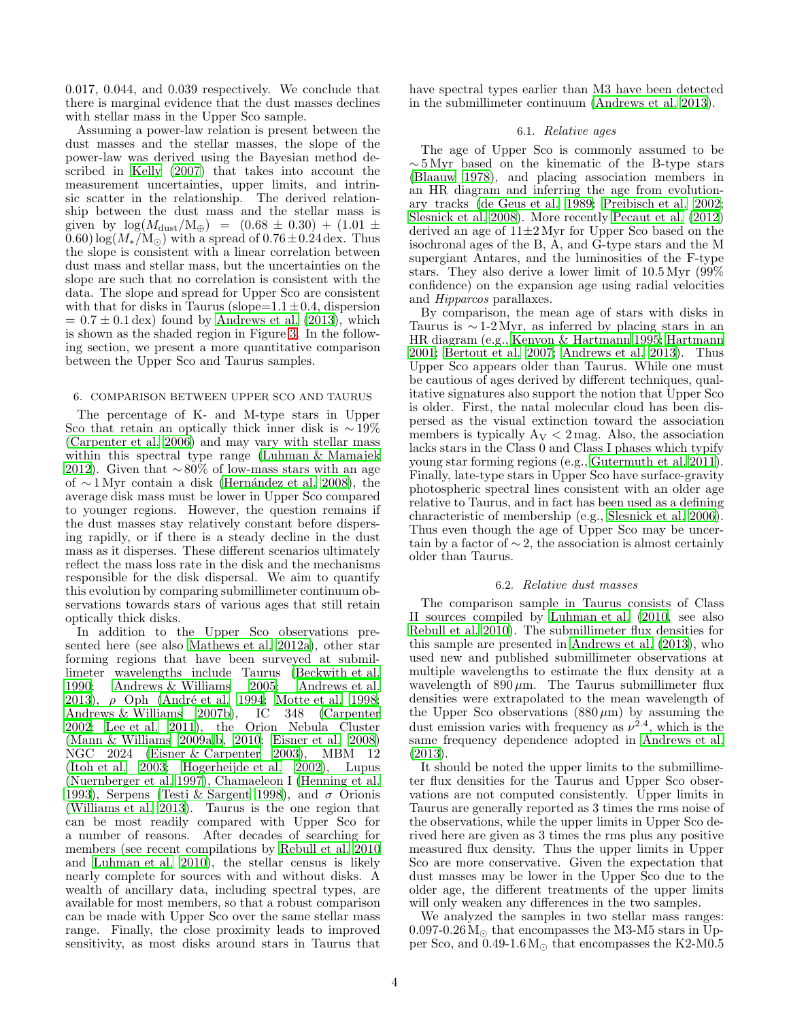0.017, 0.044, and 0.039 respectively. We conclude that there is marginal evidence that the dust masses declines with stellar mass in the Upper Sco sample.

Assuming a power-law relation is present between the dust masses and the stellar masses, the slope of the power-law was derived using the Bayesian method described in [Kelly \(2007\)](#page-5-26) that takes into account the measurement uncertainties, upper limits, and intrinsic scatter in the relationship. The derived relationship between the dust mass and the stellar mass is given by  $\log(M_{\text{dust}}/M_{\oplus}) = (0.68 \pm 0.30) + (1.01 \pm 1.00)$  $(0.60)$  log( $M_*/{\rm M}_{\odot}$ ) with a spread of  $0.76\pm0.24$  dex. Thus the slope is consistent with a linear correlation between dust mass and stellar mass, but the uncertainties on the slope are such that no correlation is consistent with the data. The slope and spread for Upper Sco are consistent with that for disks in Taurus (slope= $1.1 \pm 0.4$ , dispersion  $= 0.7 \pm 0.1$  dex) found by [Andrews et al. \(2013](#page-5-9)), which is shown as the shaded region in Figure [3.](#page-9-0) In the following section, we present a more quantitative comparison between the Upper Sco and Taurus samples.

## <span id="page-3-0"></span>6. COMPARISON BETWEEN UPPER SCO AND TAURUS

The percentage of K- and M-type stars in Upper Sco that retain an optically thick inner disk is  $\sim$  19% [\(Carpenter et al. 2006\)](#page-5-3) and may vary with stellar mass within this spectral type range [\(Luhman & Mamajek](#page-5-27) [2012\)](#page-5-27). Given that  $\sim 80\%$  of low-mass stars with an age of ∼ 1 Myr contain a disk [\(Hern´andez et al. 2008\)](#page-5-1), the average disk mass must be lower in Upper Sco compared to younger regions. However, the question remains if the dust masses stay relatively constant before dispersing rapidly, or if there is a steady decline in the dust mass as it disperses. These different scenarios ultimately reflect the mass loss rate in the disk and the mechanisms responsible for the disk dispersal. We aim to quantify this evolution by comparing submillimeter continuum observations towards stars of various ages that still retain optically thick disks.

In addition to the Upper Sco observations presented here (see also [Mathews et al. 2012a\)](#page-6-5), other star forming regions that have been surveyed at submillimeter wavelengths include Taurus [\(Beckwith et al.](#page-5-5) [1990;](#page-5-5) [Andrews & Williams 2005;](#page-5-7) [Andrews et al.](#page-5-9) [2013\)](#page-5-9),  $\rho$  Oph (André et al. 1994; [Motte et al. 1998;](#page-6-2) [Andrews & Williams 2007b\)](#page-5-8), IC 348 [\(Carpenter](#page-5-18) [2002;](#page-5-18) [Lee et al. 2011](#page-5-19)), the Orion Nebula Cluster [\(Mann & Williams 2009a](#page-6-14)[,b,](#page-6-15) [2010](#page-6-16); [Eisner et al. 2008](#page-5-28)) NGC 2024 [\(Eisner & Carpenter 2003\)](#page-5-29), MBM 12 [\(Itoh et al. 2003;](#page-5-30) [Hogerheijde et al. 2002\)](#page-5-31), Lupus [\(Nuernberger et al. 1997](#page-6-17)), Chamaeleon I [\(Henning et al.](#page-5-32) [1993\)](#page-5-32), Serpens [\(Testi & Sargent 1998\)](#page-6-18), and  $\sigma$  Orionis [\(Williams et al. 2013\)](#page-6-6). Taurus is the one region that can be most readily compared with Upper Sco for a number of reasons. After decades of searching for members (see recent compilations by [Rebull et al. 2010](#page-6-19) and [Luhman et al. 2010](#page-5-33)), the stellar census is likely nearly complete for sources with and without disks. A wealth of ancillary data, including spectral types, are available for most members, so that a robust comparison can be made with Upper Sco over the same stellar mass range. Finally, the close proximity leads to improved sensitivity, as most disks around stars in Taurus that

have spectral types earlier than M3 have been detected in the submillimeter continuum [\(Andrews et al. 2013\)](#page-5-9).

### 6.1. Relative ages

The age of Upper Sco is commonly assumed to be  $\sim$  5 Myr based on the kinematic of the B-type stars [\(Blaauw 1978](#page-5-34)), and placing association members in an HR diagram and inferring the age from evolutionary tracks [\(de Geus et al. 1989;](#page-5-35) [Preibisch et al. 2002](#page-6-10); [Slesnick et al. 2008\)](#page-6-20). More recently [Pecaut et al. \(2012](#page-6-21)) derived an age of 11±2Myr for Upper Sco based on the isochronal ages of the B, A, and G-type stars and the M supergiant Antares, and the luminosities of the F-type stars. They also derive a lower limit of 10.5 Myr (99% confidence) on the expansion age using radial velocities and Hipparcos parallaxes.

By comparison, the mean age of stars with disks in Taurus is  $\sim$  1-2Myr, as inferred by placing stars in an HR diagram (e.g., [Kenyon & Hartmann 1995;](#page-5-36) [Hartmann](#page-5-37) [2001;](#page-5-37) [Bertout et al. 2007;](#page-5-38) [Andrews et al. 2013\)](#page-5-9). Thus Upper Sco appears older than Taurus. While one must be cautious of ages derived by different techniques, qualitative signatures also support the notion that Upper Sco is older. First, the natal molecular cloud has been dispersed as the visual extinction toward the association members is typically  $A_V < 2$  mag. Also, the association lacks stars in the Class 0 and Class I phases which typify young star forming regions (e.g., [Gutermuth et al. 2011](#page-5-39)). Finally, late-type stars in Upper Sco have surface-gravity photospheric spectral lines consistent with an older age relative to Taurus, and in fact has been used as a defining characteristic of membership (e.g., [Slesnick et al. 2006](#page-6-22)). Thus even though the age of Upper Sco may be uncertain by a factor of  $\sim$  2, the association is almost certainly older than Taurus.

### 6.2. Relative dust masses

The comparison sample in Taurus consists of Class II sources compiled by [Luhman et al. \(2010](#page-5-33), see also [Rebull et al. 2010\)](#page-6-19). The submillimeter flux densities for this sample are presented in [Andrews et al. \(2013](#page-5-9)), who used new and published submillimeter observations at multiple wavelengths to estimate the flux density at a wavelength of  $890 \mu m$ . The Taurus submillimeter flux densities were extrapolated to the mean wavelength of the Upper Sco observations  $(880 \,\mu\text{m})$  by assuming the dust emission varies with frequency as  $\nu^{2.4}$ , which is the same frequency dependence adopted in [Andrews et al.](#page-5-9) [\(2013\)](#page-5-9).

It should be noted the upper limits to the submillimeter flux densities for the Taurus and Upper Sco observations are not computed consistently. Upper limits in Taurus are generally reported as 3 times the rms noise of the observations, while the upper limits in Upper Sco derived here are given as 3 times the rms plus any positive measured flux density. Thus the upper limits in Upper Sco are more conservative. Given the expectation that dust masses may be lower in the Upper Sco due to the older age, the different treatments of the upper limits will only weaken any differences in the two samples.

We analyzed the samples in two stellar mass ranges: 0.097-0.26 $M_{\odot}$  that encompasses the M3-M5 stars in Upper Sco, and  $0.49-1.6 M_{\odot}$  that encompasses the K2-M0.5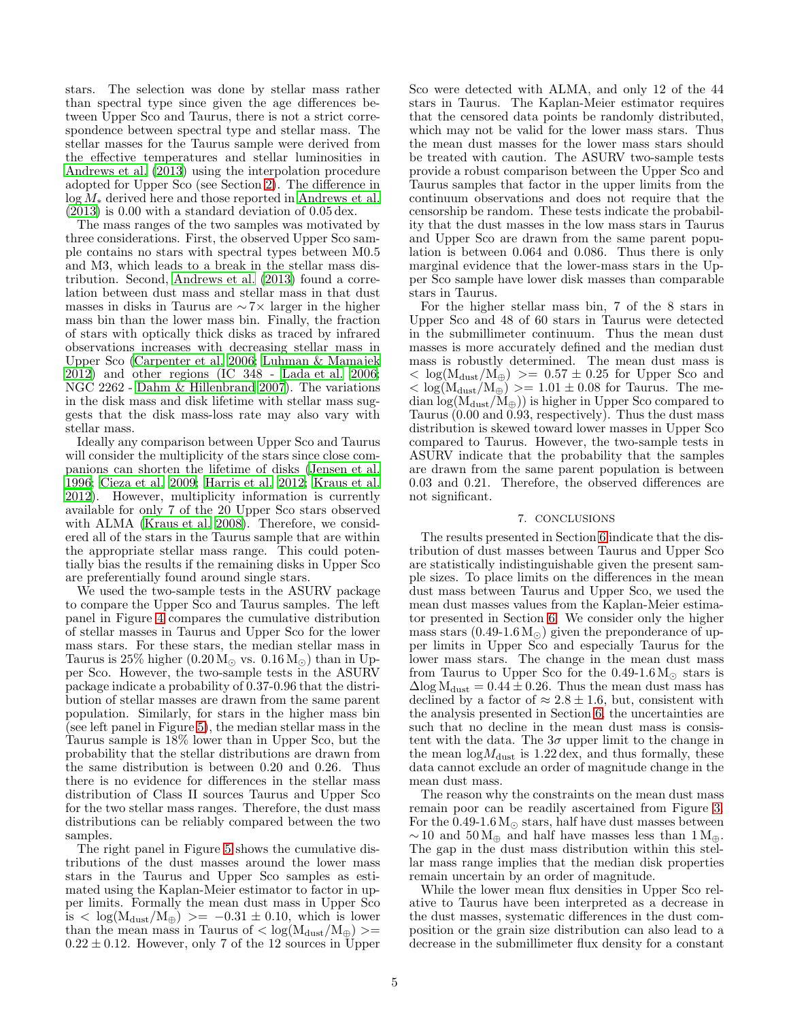stars. The selection was done by stellar mass rather than spectral type since given the age differences between Upper Sco and Taurus, there is not a strict correspondence between spectral type and stellar mass. The stellar masses for the Taurus sample were derived from the effective temperatures and stellar luminosities in [Andrews et al. \(2013\)](#page-5-9) using the interpolation procedure adopted for Upper Sco (see Section [2\)](#page-1-0). The difference in log M<sup>∗</sup> derived here and those reported in [Andrews et al.](#page-5-9)  $(2013)$  is 0.00 with a standard deviation of 0.05 dex.

The mass ranges of the two samples was motivated by three considerations. First, the observed Upper Sco sample contains no stars with spectral types between M0.5 and M3, which leads to a break in the stellar mass distribution. Second, [Andrews et al. \(2013\)](#page-5-9) found a correlation between dust mass and stellar mass in that dust masses in disks in Taurus are ∼ 7× larger in the higher mass bin than the lower mass bin. Finally, the fraction of stars with optically thick disks as traced by infrared observations increases with decreasing stellar mass in Upper Sco [\(Carpenter et al. 2006;](#page-5-3) [Luhman & Mamajek](#page-5-27) [2012\)](#page-5-27) and other regions (IC 348 - [Lada et al. 2006;](#page-5-40) NGC 2262 - [Dahm & Hillenbrand 2007](#page-5-41)). The variations in the disk mass and disk lifetime with stellar mass suggests that the disk mass-loss rate may also vary with stellar mass.

Ideally any comparison between Upper Sco and Taurus will consider the multiplicity of the stars since close companions can shorten the lifetime of disks [\(Jensen et al.](#page-5-42) [1996;](#page-5-42) [Cieza et al. 2009;](#page-5-43) [Harris et al. 2012](#page-5-44); [Kraus et al.](#page-5-45) [2012\)](#page-5-45). However, multiplicity information is currently available for only 7 of the 20 Upper Sco stars observed with ALMA [\(Kraus et al. 2008\)](#page-5-46). Therefore, we considered all of the stars in the Taurus sample that are within the appropriate stellar mass range. This could potentially bias the results if the remaining disks in Upper Sco are preferentially found around single stars.

We used the two-sample tests in the ASURV package to compare the Upper Sco and Taurus samples. The left panel in Figure [4](#page-10-0) compares the cumulative distribution of stellar masses in Taurus and Upper Sco for the lower mass stars. For these stars, the median stellar mass in Taurus is 25% higher  $(0.20 M_{\odot}$  vs.  $0.16 M_{\odot})$  than in Upper Sco. However, the two-sample tests in the ASURV package indicate a probability of 0.37-0.96 that the distribution of stellar masses are drawn from the same parent population. Similarly, for stars in the higher mass bin (see left panel in Figure [5\)](#page-11-0), the median stellar mass in the Taurus sample is 18% lower than in Upper Sco, but the probability that the stellar distributions are drawn from the same distribution is between 0.20 and 0.26. Thus there is no evidence for differences in the stellar mass distribution of Class II sources Taurus and Upper Sco for the two stellar mass ranges. Therefore, the dust mass distributions can be reliably compared between the two samples.

The right panel in Figure [5](#page-11-0) shows the cumulative distributions of the dust masses around the lower mass stars in the Taurus and Upper Sco samples as estimated using the Kaplan-Meier estimator to factor in upper limits. Formally the mean dust mass in Upper Sco is  $\langle \log(M_{\text{dust}}/M_{\oplus}) \rangle = -0.31 \pm 0.10$ , which is lower than the mean mass in Taurus of  $<$  log( $M_{\text{dust}}/M_{\oplus}$ ) >=  $0.22 \pm 0.12$ . However, only 7 of the 12 sources in Upper

Sco were detected with ALMA, and only 12 of the 44 stars in Taurus. The Kaplan-Meier estimator requires that the censored data points be randomly distributed, which may not be valid for the lower mass stars. Thus the mean dust masses for the lower mass stars should be treated with caution. The ASURV two-sample tests provide a robust comparison between the Upper Sco and Taurus samples that factor in the upper limits from the continuum observations and does not require that the censorship be random. These tests indicate the probability that the dust masses in the low mass stars in Taurus and Upper Sco are drawn from the same parent population is between 0.064 and 0.086. Thus there is only marginal evidence that the lower-mass stars in the Upper Sco sample have lower disk masses than comparable stars in Taurus.

For the higher stellar mass bin, 7 of the 8 stars in Upper Sco and 48 of 60 stars in Taurus were detected in the submillimeter continuum. Thus the mean dust masses is more accurately defined and the median dust mass is robustly determined. The mean dust mass is  $~<~\log(M_{\rm dust}/M_{\oplus})~> = ~0.57 \pm 0.25$  for Upper Sco and  $<$  log( $M_{\text{dust}}/M_{\oplus}$ ) >= 1.01 ± 0.08 for Taurus. The me- $\rm{dian}\;log(M_{\rm{dust}}/M_{\oplus}))$  is higher in Upper Sco compared to Taurus (0.00 and 0.93, respectively). Thus the dust mass distribution is skewed toward lower masses in Upper Sco compared to Taurus. However, the two-sample tests in ASURV indicate that the probability that the samples are drawn from the same parent population is between 0.03 and 0.21. Therefore, the observed differences are not significant.

## 7. CONCLUSIONS

The results presented in Section [6](#page-3-0) indicate that the distribution of dust masses between Taurus and Upper Sco are statistically indistinguishable given the present sample sizes. To place limits on the differences in the mean dust mass between Taurus and Upper Sco, we used the mean dust masses values from the Kaplan-Meier estimator presented in Section [6.](#page-3-0) We consider only the higher mass stars  $(0.49-1.6 M_{\odot})$  given the preponderance of upper limits in Upper Sco and especially Taurus for the lower mass stars. The change in the mean dust mass from Taurus to Upper Sco for the  $0.49{\text -}1.6\,\text{M}_{\odot}$  stars is  $\Delta$ log  $M_{\text{dust}} = 0.44 \pm 0.26$ . Thus the mean dust mass has declined by a factor of  $\approx 2.8 \pm 1.6$ , but, consistent with the analysis presented in Section [6,](#page-3-0) the uncertainties are such that no decline in the mean dust mass is consistent with the data. The  $3\sigma$  upper limit to the change in the mean  $log M_{\text{dust}}$  is 1.22 dex, and thus formally, these data cannot exclude an order of magnitude change in the mean dust mass.

The reason why the constraints on the mean dust mass remain poor can be readily ascertained from Figure [3.](#page-9-0) For the  $0.49$ -1.6 M<sub>☉</sub> stars, half have dust masses between  $\sim$  10 and 50 M<sub>⊕</sub> and half have masses less than 1 M<sub>⊕</sub>. The gap in the dust mass distribution within this stellar mass range implies that the median disk properties remain uncertain by an order of magnitude.

While the lower mean flux densities in Upper Sco relative to Taurus have been interpreted as a decrease in the dust masses, systematic differences in the dust composition or the grain size distribution can also lead to a decrease in the submillimeter flux density for a constant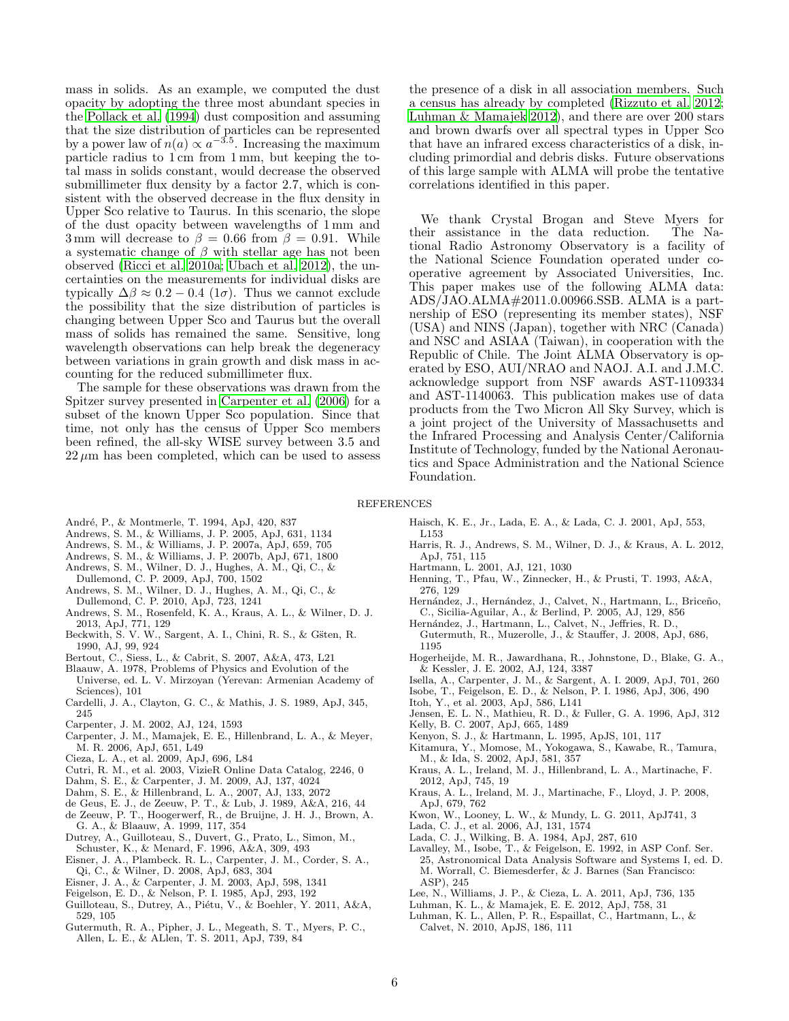mass in solids. As an example, we computed the dust opacity by adopting the three most abundant species in the [Pollack et al. \(1994\)](#page-6-23) dust composition and assuming that the size distribution of particles can be represented by a power law of  $n(a) \propto a^{-3.5}$ . Increasing the maximum particle radius to 1 cm from 1 mm, but keeping the total mass in solids constant, would decrease the observed submillimeter flux density by a factor 2.7, which is consistent with the observed decrease in the flux density in Upper Sco relative to Taurus. In this scenario, the slope of the dust opacity between wavelengths of 1 mm and 3 mm will decrease to  $\beta = 0.66$  from  $\beta = 0.91$ . While a systematic change of  $\beta$  with stellar age has not been observed [\(Ricci et al. 2010a](#page-6-24); [Ubach et al. 2012\)](#page-6-25), the uncertainties on the measurements for individual disks are typically  $\Delta \beta \approx 0.2 - 0.4$  (1 $\sigma$ ). Thus we cannot exclude the possibility that the size distribution of particles is changing between Upper Sco and Taurus but the overall mass of solids has remained the same. Sensitive, long wavelength observations can help break the degeneracy between variations in grain growth and disk mass in accounting for the reduced submillimeter flux.

The sample for these observations was drawn from the Spitzer survey presented in [Carpenter et al. \(2006\)](#page-5-3) for a subset of the known Upper Sco population. Since that time, not only has the census of Upper Sco members been refined, the all-sky WISE survey between 3.5 and  $22 \mu m$  has been completed, which can be used to assess

the presence of a disk in all association members. Such a census has already by completed [\(Rizzuto et al. 2012](#page-6-26); [Luhman & Mamajek 2012\)](#page-5-27), and there are over 200 stars and brown dwarfs over all spectral types in Upper Sco that have an infrared excess characteristics of a disk, including primordial and debris disks. Future observations of this large sample with ALMA will probe the tentative correlations identified in this paper.

We thank Crystal Brogan and Steve Myers for their assistance in the data reduction. The National Radio Astronomy Observatory is a facility of the National Science Foundation operated under cooperative agreement by Associated Universities, Inc. This paper makes use of the following ALMA data: ADS/JAO.ALMA#2011.0.00966.SSB. ALMA is a partnership of ESO (representing its member states), NSF (USA) and NINS (Japan), together with NRC (Canada) and NSC and ASIAA (Taiwan), in cooperation with the Republic of Chile. The Joint ALMA Observatory is operated by ESO, AUI/NRAO and NAOJ. A.I. and J.M.C. acknowledge support from NSF awards AST-1109334 and AST-1140063. This publication makes use of data products from the Two Micron All Sky Survey, which is a joint project of the University of Massachusetts and the Infrared Processing and Analysis Center/California Institute of Technology, funded by the National Aeronautics and Space Administration and the National Science Foundation.

#### REFERENCES

- <span id="page-5-6"></span>André, P., & Montmerle, T. 1994, ApJ, 420, 837
- <span id="page-5-7"></span>Andrews, S. M., & Williams, J. P. 2005, ApJ, 631, 1134
- <span id="page-5-12"></span>Andrews, S. M., & Williams, J. P. 2007a, ApJ, 659, 705
- <span id="page-5-8"></span>Andrews, S. M., & Williams, J. P. 2007b, ApJ, 671, 1800
- <span id="page-5-14"></span>Andrews, S. M., Wilner, D. J., Hughes, A. M., Qi, C., &
- Dullemond, C. P. 2009, ApJ, 700, 1502 Andrews, S. M., Wilner, D. J., Hughes, A. M., Qi, C., &
- <span id="page-5-15"></span>Dullemond, C. P. 2010, ApJ, 723, 1241
- <span id="page-5-9"></span>Andrews, S. M., Rosenfeld, K. A., Kraus, A. L., & Wilner, D. J. 2013, ApJ, 771, 129
- <span id="page-5-5"></span>Beckwith, S. V. W., Sargent, A. I., Chini, R. S., & Gsten, R.
- 1990, AJ, 99, 924 Bertout, C., Siess, L., & Cabrit, S. 2007, A&A, 473, L21
- <span id="page-5-38"></span><span id="page-5-34"></span>Blaauw, A. 1978, Problems of Physics and Evolution of the
- Universe, ed. L. V. Mirzoyan (Yerevan: Armenian Academy of Sciences), 101
- <span id="page-5-22"></span>Cardelli, J. A., Clayton, G. C., & Mathis, J. S. 1989, ApJ, 345, 245
- <span id="page-5-18"></span>Carpenter, J. M. 2002, AJ, 124, 1593
- <span id="page-5-3"></span>Carpenter, J. M., Mamajek, E. E., Hillenbrand, L. A., & Meyer, M. R. 2006, ApJ, 651, L49
- <span id="page-5-43"></span>Cieza, L. A., et al. 2009, ApJ, 696, L84
- <span id="page-5-21"></span>Cutri, R. M., et al. 2003, VizieR Online Data Catalog, 2246, 0
- <span id="page-5-4"></span>Dahm, S. E., & Carpenter, J. M. 2009, AJ, 137, 4024
- <span id="page-5-41"></span>Dahm, S. E., & Hillenbrand, L. A., 2007, AJ, 133, 2072
- <span id="page-5-35"></span>de Geus, E. J., de Zeeuw, P. T., & Lub, J. 1989, A&A, 216, 44
- <span id="page-5-23"></span>de Zeeuw, P. T., Hoogerwerf, R., de Bruijne, J. H. J., Brown, A. G. A., & Blaauw, A. 1999, 117, 354
- <span id="page-5-10"></span>Dutrey, A., Guilloteau, S., Duvert, G., Prato, L., Simon, M., Schuster, K., & Menard, F. 1996, A&A, 309, 493
- <span id="page-5-28"></span>Eisner, J. A., Plambeck. R. L., Carpenter, J. M., Corder, S. A., Qi, C., & Wilner, D. 2008, ApJ, 683, 304
- <span id="page-5-29"></span>Eisner, J. A., & Carpenter, J. M. 2003, ApJ, 598, 1341
- Feigelson, E. D., & Nelson, P. I. 1985, ApJ, 293, 192
- <span id="page-5-17"></span>Guilloteau, S., Dutrey, A., Piétu, V., & Boehler, Y. 2011, A&A, 529, 105
- <span id="page-5-39"></span>Gutermuth, R. A., Pipher, J. L., Megeath, S. T., Myers, P. C., Allen, L. E., & ALlen, T. S. 2011, ApJ, 739, 84
- <span id="page-5-0"></span>Haisch, K. E., Jr., Lada, E. A., & Lada, C. J. 2001, ApJ, 553, L153
- <span id="page-5-44"></span>Harris, R. J., Andrews, S. M., Wilner, D. J., & Kraus, A. L. 2012, ApJ, 751, 115
- <span id="page-5-37"></span>Hartmann, L. 2001, AJ, 121, 1030
- <span id="page-5-32"></span>Henning, T., Pfau, W., Zinnecker, H., & Prusti, T. 1993, A&A, 276, 129
- <span id="page-5-2"></span>Hernández, J., Hernández, J., Calvet, N., Hartmann, L., Briceño, C., Sicilia-Aguilar, A., & Berlind, P. 2005, AJ, 129, 856
- <span id="page-5-1"></span>Hern´andez, J., Hartmann, L., Calvet, N., Jeffries, R. D., Gutermuth, R., Muzerolle, J., & Stauffer, J. 2008, ApJ, 686, 1195
- <span id="page-5-31"></span>Hogerheijde, M. R., Jawardhana, R., Johnstone, D., Blake, G. A., & Kessler, J. E. 2002, AJ, 124, 3387
- <span id="page-5-13"></span>Isella, A., Carpenter, J. M., & Sargent, A. I. 2009, ApJ, 701, 260
- <span id="page-5-24"></span>Isobe, T., Feigelson, E. D., & Nelson, P. I. 1986, ApJ, 306, 490
- <span id="page-5-30"></span>Itoh, Y., et al. 2003, ApJ, 586, L141
- <span id="page-5-42"></span>Jensen, E. L. N., Mathieu, R. D., & Fuller, G. A. 1996, ApJ, 312 Kelly, B. C. 2007, ApJ, 665, 1489
- <span id="page-5-36"></span><span id="page-5-26"></span>Kenyon, S. J., & Hartmann, L. 1995, ApJS, 101, 117
- <span id="page-5-11"></span>Kitamura, Y., Momose, M., Yokogawa, S., Kawabe, R., Tamura, M., & Ida, S. 2002, ApJ, 581, 357
- <span id="page-5-45"></span>Kraus, A. L., Ireland, M. J., Hillenbrand, L. A., Martinache, F. 2012, ApJ, 745, 19
- <span id="page-5-46"></span>Kraus, A. L., Ireland, M. J., Martinache, F., Lloyd, J. P. 2008, ApJ, 679, 762
- <span id="page-5-16"></span>Kwon, W., Looney, L. W., & Mundy, L. G. 2011, ApJ741, 3
- <span id="page-5-40"></span>Lada, C. J., et al. 2006, AJ, 131, 1574
- <span id="page-5-20"></span>Lada, C. J., Wilking, B. A. 1984, ApJ, 287, 610
- <span id="page-5-25"></span>Lavalley, M., Isobe, T., & Feigelson, E. 1992, in ASP Conf. Ser. 25, Astronomical Data Analysis Software and Systems I, ed. D. M. Worrall, C. Biemesderfer, & J. Barnes (San Francisco: ASP), 245
- <span id="page-5-19"></span>Lee, N., Williams, J. P., & Cieza, L. A. 2011, ApJ, 736, 135
- <span id="page-5-27"></span>Luhman, K. L., & Mamajek, E. E. 2012, ApJ, 758, 31
- <span id="page-5-33"></span>Luhman, K. L., Allen, P. R., Espaillat, C., Hartmann, L., & Calvet, N. 2010, ApJS, 186, 111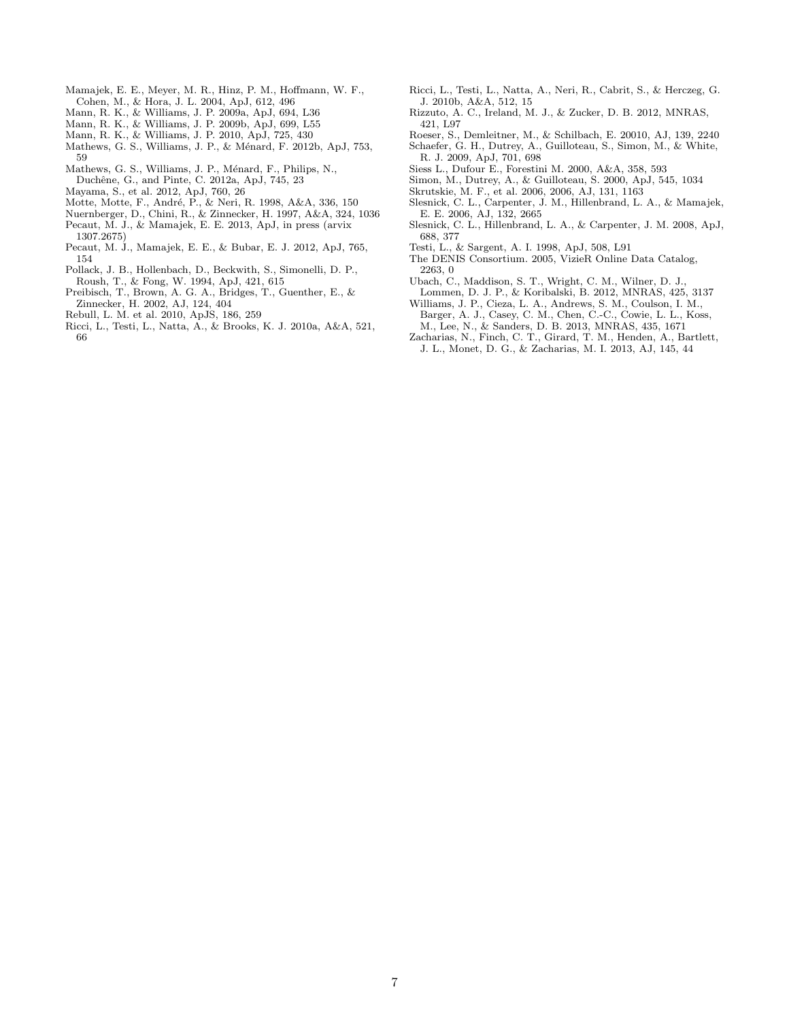- <span id="page-6-0"></span>Mamajek, E. E., Meyer, M. R., Hinz, P. M., Hoffmann, W. F., Cohen, M., & Hora, J. L. 2004, ApJ, 612, 496
- <span id="page-6-14"></span>Mann, R. K., & Williams, J. P. 2009a, ApJ, 694, L36
- <span id="page-6-15"></span>Mann, R. K., & Williams, J. P. 2009b, ApJ, 699, L55
- <span id="page-6-16"></span>Mann, R. K., & Williams, J. P. 2010, ApJ, 725, 430
- Mathews, G. S., Williams, J. P., & Ménard, F. 2012b, ApJ, 753, 59
- <span id="page-6-5"></span>Mathews, G. S., Williams, J. P., Ménard, F., Philips, N., Duchêne, G., and Pinte, C. 2012a, ApJ, 745, 23
- <span id="page-6-13"></span>Mayama, S., et al. 2012, ApJ, 760, 26
- <span id="page-6-2"></span>Motte, Motte, F., André, P., & Neri, R. 1998, A&A, 336, 150
- <span id="page-6-17"></span>Nuernberger, D., Chini, R., & Zinnecker, H. 1997, A&A, 324, 1036
- <span id="page-6-9"></span>Pecaut, M. J., & Mamajek, E. E. 2013, ApJ, in press (arvix 1307.2675)
- <span id="page-6-21"></span>Pecaut, M. J., Mamajek, E. E., & Bubar, E. J. 2012, ApJ, 765, 154
- <span id="page-6-23"></span>Pollack, J. B., Hollenbach, D., Beckwith, S., Simonelli, D. P., Roush, T., & Fong, W. 1994, ApJ, 421, 615
- <span id="page-6-10"></span>Preibisch, T., Brown, A. G. A., Bridges, T., Guenther, E., & Zinnecker, H. 2002, AJ, 124, 404
- <span id="page-6-19"></span>Rebull, L. M. et al. 2010, ApJS, 186, 259
- <span id="page-6-24"></span>Ricci, L., Testi, L., Natta, A., & Brooks, K. J. 2010a, A&A, 521, 66
- <span id="page-6-1"></span>Ricci, L., Testi, L., Natta, A., Neri, R., Cabrit, S., & Herczeg, G. J. 2010b, A&A, 512, 15
- <span id="page-6-26"></span>Rizzuto, A. C., Ireland, M. J., & Zucker, D. B. 2012, MNRAS, 421, L97
- <span id="page-6-12"></span>Roeser, S., Demleitner, M., & Schilbach, E. 20010, AJ, 139, 2240
- <span id="page-6-3"></span>Schaefer, G. H., Dutrey, A., Guilloteau, S., Simon, M., & White, R. J. 2009, ApJ, 701, 698
- <span id="page-6-11"></span>Siess L., Dufour E., Forestini M. 2000, A&A, 358, 593
- <span id="page-6-4"></span>Simon, M., Dutrey, A., & Guilloteau, S. 2000, ApJ, 545, 1034
- <span id="page-6-7"></span>Skrutskie, M. F., et al. 2006, 2006, AJ, 131, 1163
- <span id="page-6-22"></span>Slesnick, C. L., Carpenter, J. M., Hillenbrand, L. A., & Mamajek, E. E. 2006, AJ, 132, 2665
- <span id="page-6-20"></span>Slesnick, C. L., Hillenbrand, L. A., & Carpenter, J. M. 2008, ApJ, 688, 377
- <span id="page-6-18"></span>Testi, L., & Sargent, A. I. 1998, ApJ, 508, L91
- <span id="page-6-8"></span>The DENIS Consortium. 2005, VizieR Online Data Catalog, 2263, 0
- <span id="page-6-25"></span>Ubach, C., Maddison, S. T., Wright, C. M., Wilner, D. J.,
- Lommen, D. J. P., & Koribalski, B. 2012, MNRAS, 425, 3137 Williams, J. P., Cieza, L. A., Andrews, S. M., Coulson, I. M.,
- <span id="page-6-6"></span>Barger, A. J., Casey, C. M., Chen, C.-C., Cowie, L. L., Koss, M., Lee, N., & Sanders, D. B. 2013, MNRAS, 435, 1671 Zacharias, N., Finch, C. T., Girard, T. M., Henden, A., Bartlett,
- J. L., Monet, D. G., & Zacharias, M. I. 2013, AJ, 145, 44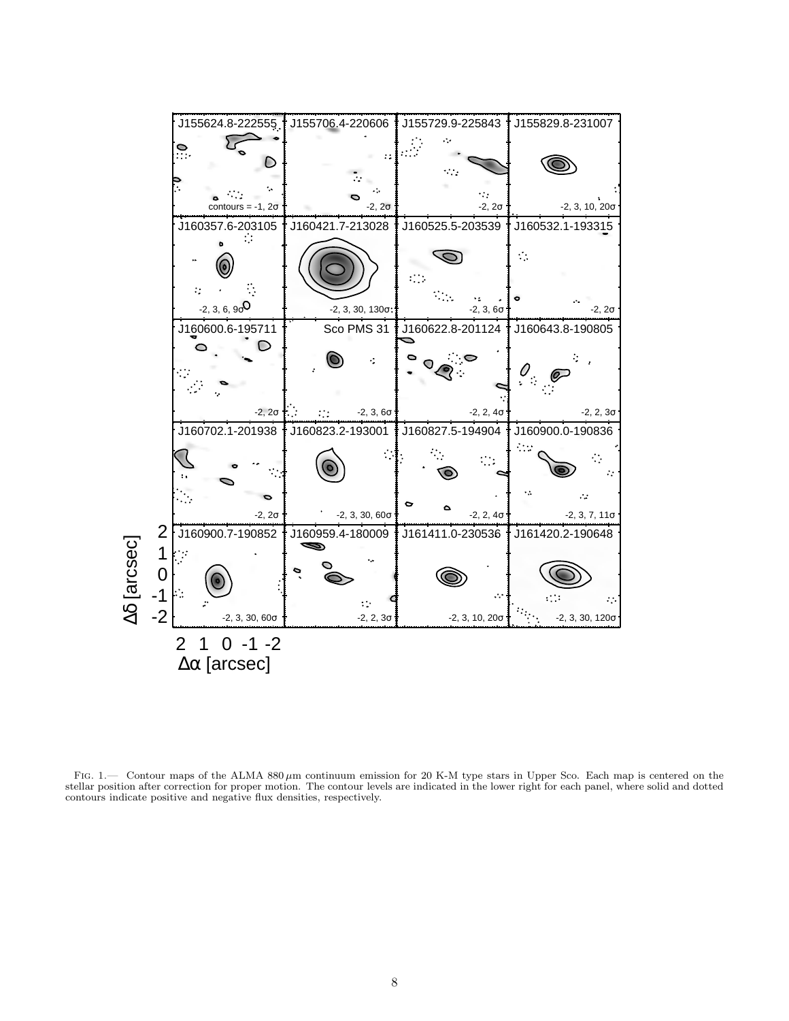

<span id="page-7-0"></span>FIG. 1.— Contour maps of the ALMA 880  $\mu$ m continuum emission for 20 K-M type stars in Upper Sco. Each map is centered on the stellar position after correction for proper motion. The contour levels are indicated in the lower right for each panel, where solid and dotted contours indicate positive and negative flux densities, respectively.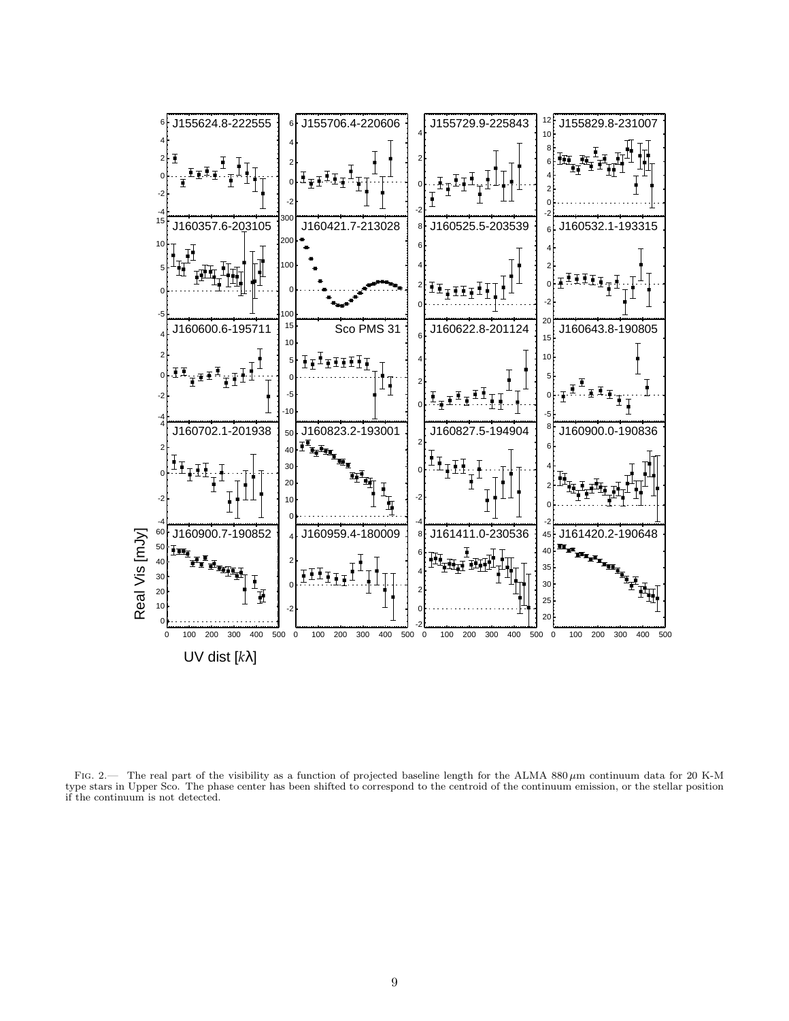

<span id="page-8-0"></span>FIG. 2.— The real part of the visibility as a function of projected baseline length for the ALMA 880  $\mu$ m continuum data for 20 K-M type stars in Upper Sco. The phase center has been shifted to correspond to the centroid of the continuum emission, or the stellar position if the continuum is not detected.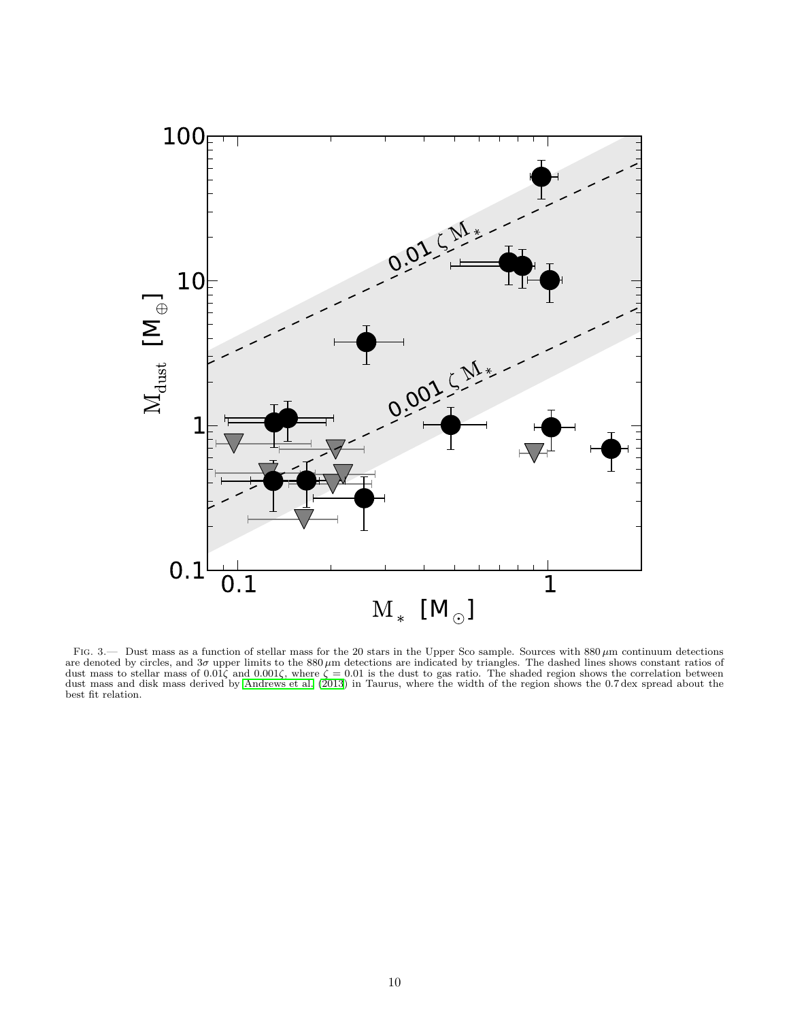

<span id="page-9-0"></span>FIG. 3.— Dust mass as a function of stellar mass for the 20 stars in the Upper Sco sample. Sources with  $880 \,\mu$ m continuum detections are denoted by circles, and  $3\sigma$  upper limits to the  $880 \,\mu$ m detections are indicated by triangles. The dashed lines shows constant ratios of dust mass to stellar mass of 0.01 $\zeta$  and 0.001 $\zeta$ , where  $\zeta = 0.01$  is the dust to gas ratio. The shaded region shows the correlation between dust mass and disk mass derived by [Andrews et al. \(2013\)](#page-5-9) in Taurus, where the width of the region shows the 0.7 dex spread about the best fit relation.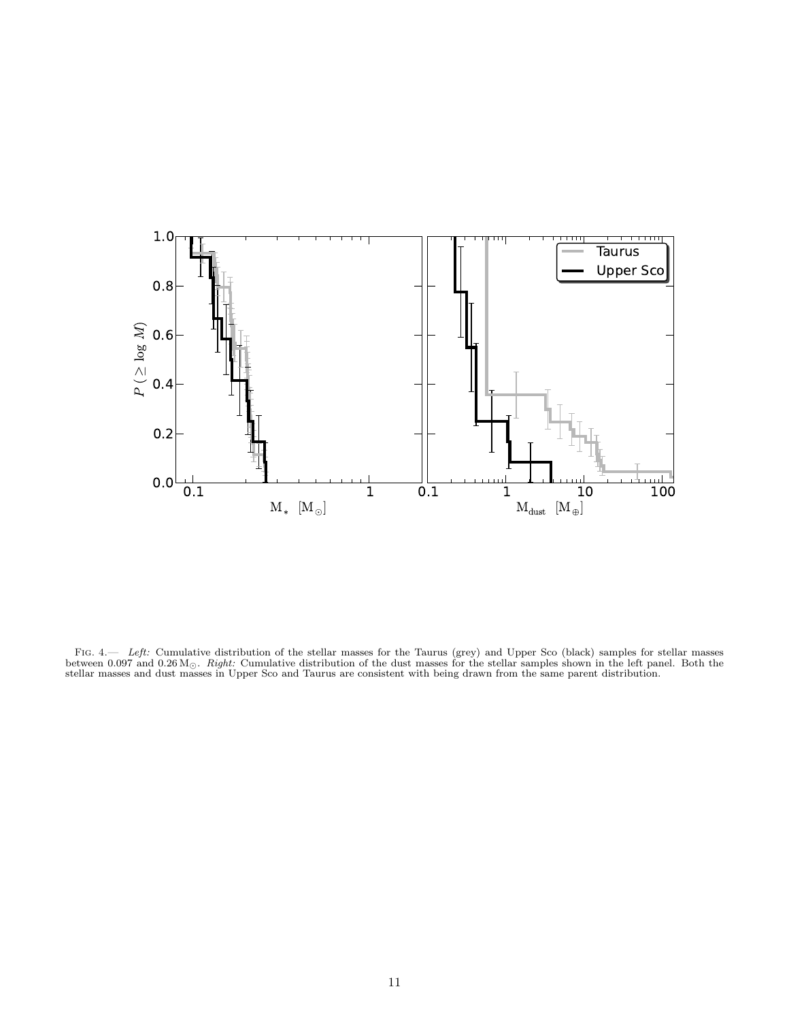

<span id="page-10-0"></span>FIG. 4.— Left: Cumulative distribution of the stellar masses for the Taurus (grey) and Upper Sco (black) samples for stellar masses between 0.097 and 0.26 M<sub>☉</sub>. Right: Cumulative distribution of the dust masses for the stellar samples shown in the left panel. Both the stellar masses and dust masses in Upper Sco and Taurus are consistent with being drawn from the same parent distribution.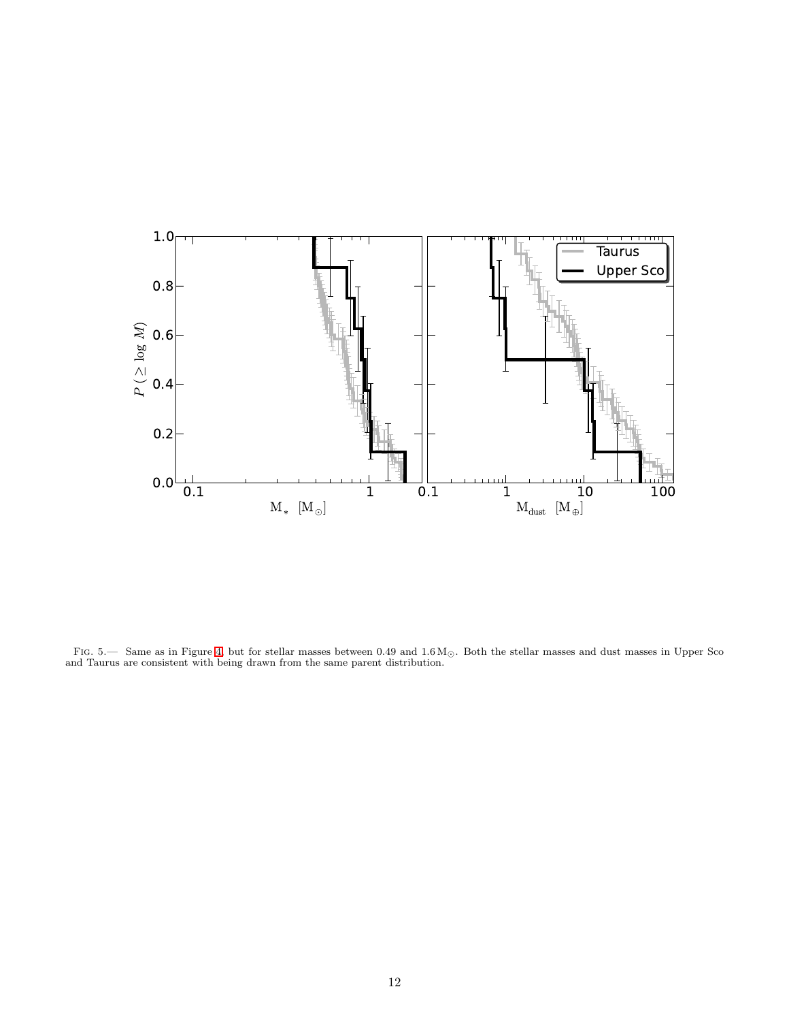

<span id="page-11-0"></span>FIG. 5.— Same as in Figure [4,](#page-10-0) but for stellar masses between 0.49 and 1.6 M<sub>O</sub>. Both the stellar masses and dust masses in Upper Sco and Taurus are consistent with being drawn from the same parent distribution.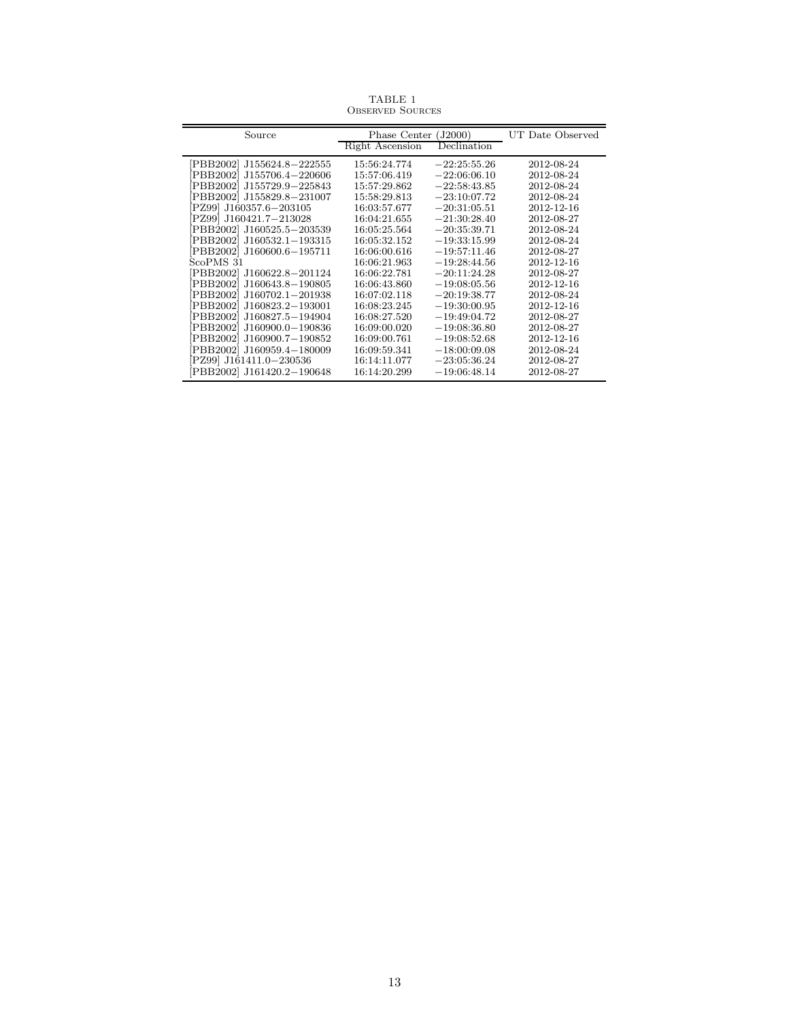<span id="page-12-0"></span>

| Source                          | Phase Center (J2000) | UT Date Observed |            |
|---------------------------------|----------------------|------------------|------------|
|                                 | Right Ascension      | Declination      |            |
| J155624.8-222555<br>PBB2002     | 15:56:24.774         | $-22:25:55.26$   | 2012-08-24 |
| PBB2002<br>J155706.4-220606     | 15:57:06.419         | $-22:06:06.10$   | 2012-08-24 |
| PBB2002<br>J155729.9-225843     | 15:57:29.862         | $-22:58:43.85$   | 2012-08-24 |
| PBB2002 J155829.8-231007        | 15:58:29.813         | $-23:10:07.72$   | 2012-08-24 |
| PZ99 J160357.6-203105           | 16:03:57.677         | $-20:31:05.51$   | 2012-12-16 |
| PZ99 J160421.7-213028           | 16:04:21.655         | $-21:30:28.40$   | 2012-08-27 |
| PBB2002<br>J160525.5-203539     | 16:05:25.564         | $-20:35:39.71$   | 2012-08-24 |
| PBB2002<br>J160532.1-193315     | 16:05:32.152         | $-19:33:15.99$   | 2012-08-24 |
| PBB2002<br>J160600.6-195711     | 16:06:00.616         | $-19:57:11.46$   | 2012-08-27 |
| ScoPMS 31                       | 16:06:21.963         | $-19:28:44.56$   | 2012-12-16 |
| PBB2002<br>J160622.8-201124     | 16:06:22.781         | $-20:11:24.28$   | 2012-08-27 |
| PBB2002<br>J160643.8-190805     | 16:06:43.860         | $-19:08:05.56$   | 2012-12-16 |
| PBB2002<br>$J160702.1 - 201938$ | 16:07:02.118         | $-20:19:38.77$   | 2012-08-24 |
| PBB2002<br>J160823.2-193001     | 16:08:23.245         | $-19:30:00.95$   | 2012-12-16 |
| PBB2002<br>J160827.5-194904     | 16:08:27.520         | $-19:49:04.72$   | 2012-08-27 |
| PBB2002<br>J160900.0-190836     | 16:09:00.020         | $-19:08:36.80$   | 2012-08-27 |
| PBB2002<br>J160900.7-190852     | 16:09:00.761         | $-19:08:52.68$   | 2012-12-16 |
| PBB2002 J160959.4-180009        | 16:09:59.341         | $-18:00:09.08$   | 2012-08-24 |
| PZ99 J161411.0-230536           | 16:14:11.077         | $-23:05:36.24$   | 2012-08-27 |
| PBB2002<br>J161420.2-190648     | 16:14:20.299         | $-19:06:48.14$   | 2012-08-27 |
|                                 |                      |                  |            |

TABLE 1 Observed Sources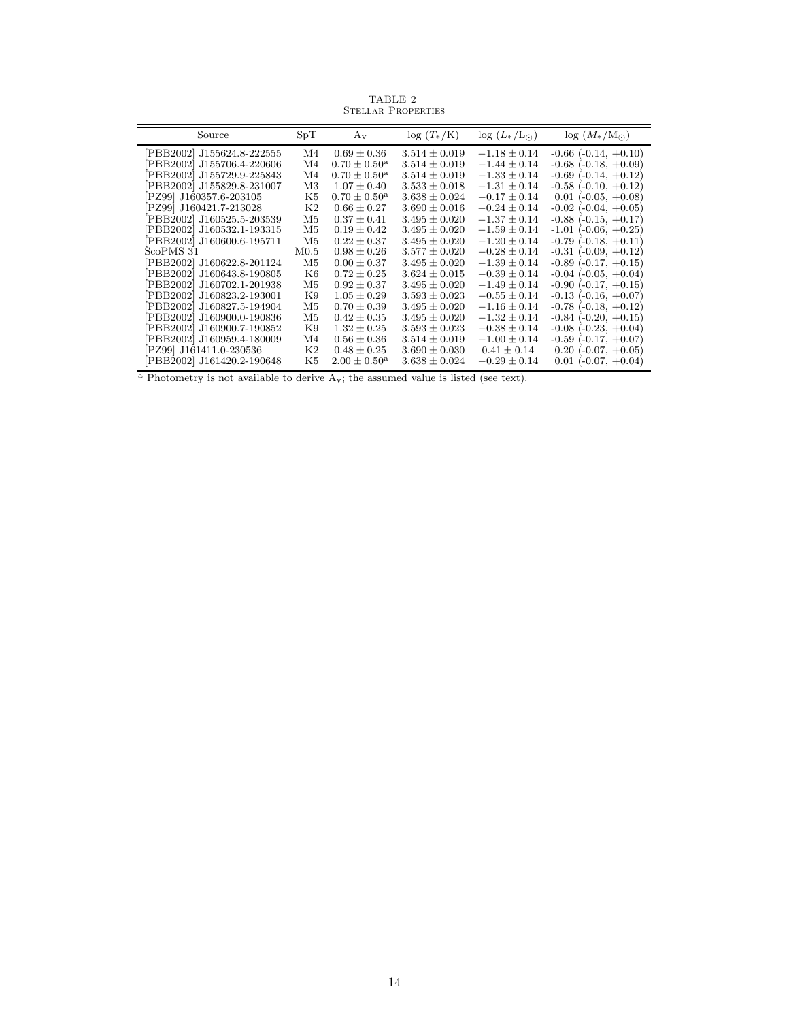<span id="page-13-0"></span>

| Source                   | SpT              | $A_v$                   | $\log(T_{*}/K)$   | $\log(L_{*}/L_{\odot})$ | $\log(M_{*}/M_{\odot})$       |
|--------------------------|------------------|-------------------------|-------------------|-------------------------|-------------------------------|
| PBB2002 J155624.8-222555 | M4               | $0.69 \pm 0.36$         | $3.514 \pm 0.019$ | $-1.18 \pm 0.14$        | $-0.66$ $(-0.14, +0.10)$      |
| PBB2002 J155706.4-220606 | $\rm M4$         | $0.70 \pm 0.50^{\rm a}$ | $3.514 \pm 0.019$ | $-1.44 \pm 0.14$        | $-0.68$ ( $-0.18, +0.09$ )    |
| PBB2002 J155729.9-225843 | $\rm M4$         | $0.70 \pm 0.50^{\rm a}$ | $3.514 \pm 0.019$ | $-1.33 \pm 0.14$        | $-0.69$ $(-0.14, +0.12)$      |
| PBB2002 J155829.8-231007 | M3               | $1.07 \pm 0.40$         | $3.533 \pm 0.018$ | $-1.31 \pm 0.14$        | $-0.58$ $(-0.10, +0.12)$      |
| PZ99 J160357.6-203105    | K5               | $0.70 \pm 0.50^{\rm a}$ | $3.638 \pm 0.024$ | $-0.17 \pm 0.14$        | $0.01$ ( $-0.05, +0.08$ )     |
| PZ99 J160421.7-213028    | K2               | $0.66 \pm 0.27$         | $3.690 \pm 0.016$ | $-0.24 \pm 0.14$        | $-0.02$ ( $-0.04$ , $+0.05$ ) |
| PBB2002 J160525.5-203539 | M5               | $0.37 \pm 0.41$         | $3.495 \pm 0.020$ | $-1.37 \pm 0.14$        | $-0.88$ $(-0.15, +0.17)$      |
| PBB2002 J160532.1-193315 | M5               | $0.19 \pm 0.42$         | $3.495 \pm 0.020$ | $-1.59 \pm 0.14$        | $-1.01$ ( $-0.06, +0.25$ )    |
| PBB2002 J160600.6-195711 | M5               | $0.22 \pm 0.37$         | $3.495 \pm 0.020$ | $-1.20 \pm 0.14$        | $-0.79$ $(-0.18, +0.11)$      |
| ScoPMS 31                | M <sub>0.5</sub> | $0.98 \pm 0.26$         | $3.577 \pm 0.020$ | $-0.28 \pm 0.14$        | $-0.31$ $(-0.09, +0.12)$      |
| PBB2002 J160622.8-201124 | M5               | $0.00 \pm 0.37$         | $3.495 \pm 0.020$ | $-1.39 \pm 0.14$        | $-0.89$ ( $-0.17, +0.15$ )    |
| PBB2002 J160643.8-190805 | K6               | $0.72 \pm 0.25$         | $3.624 \pm 0.015$ | $-0.39 \pm 0.14$        | $-0.04$ ( $-0.05, +0.04$ )    |
| PBB2002 J160702.1-201938 | M5               | $0.92 \pm 0.37$         | $3.495 \pm 0.020$ | $-1.49 \pm 0.14$        | $-0.90$ $(-0.17, +0.15)$      |
| PBB2002 J160823.2-193001 | K9               | $1.05 \pm 0.29$         | $3.593 \pm 0.023$ | $-0.55 \pm 0.14$        | $-0.13$ $(-0.16, +0.07)$      |
| PBB2002 J160827.5-194904 | M5               | $0.70 \pm 0.39$         | $3.495 \pm 0.020$ | $-1.16 \pm 0.14$        | $-0.78$ $(-0.18, +0.12)$      |
| PBB2002 J160900.0-190836 | M5               | $0.42 \pm 0.35$         | $3.495 \pm 0.020$ | $-1.32 \pm 0.14$        | $-0.84$ ( $-0.20, +0.15$ )    |
| PBB2002 J160900.7-190852 | K9               | $1.32 \pm 0.25$         | $3.593 \pm 0.023$ | $-0.38 \pm 0.14$        | $-0.08$ $(-0.23, +0.04)$      |
| PBB2002 J160959.4-180009 | M4               | $0.56 \pm 0.36$         | $3.514 \pm 0.019$ | $-1.00 \pm 0.14$        | $-0.59$ $(-0.17, +0.07)$      |
| PZ99 J161411.0-230536    | K2               | $0.48 \pm 0.25$         | $3.690 \pm 0.030$ | $0.41 \pm 0.14$         | $0.20$ (-0.07, $+0.05$ )      |
| PBB2002 J161420.2-190648 | K5               | $2.00 \pm 0.50^{\rm a}$ | $3.638 \pm 0.024$ | $-0.29 \pm 0.14$        | $0.01$ ( $-0.07, +0.04$ )     |

TABLE 2 Stellar Properties

 $\alpha$  Photometry is not available to derive A<sub>v</sub>; the assumed value is listed (see text).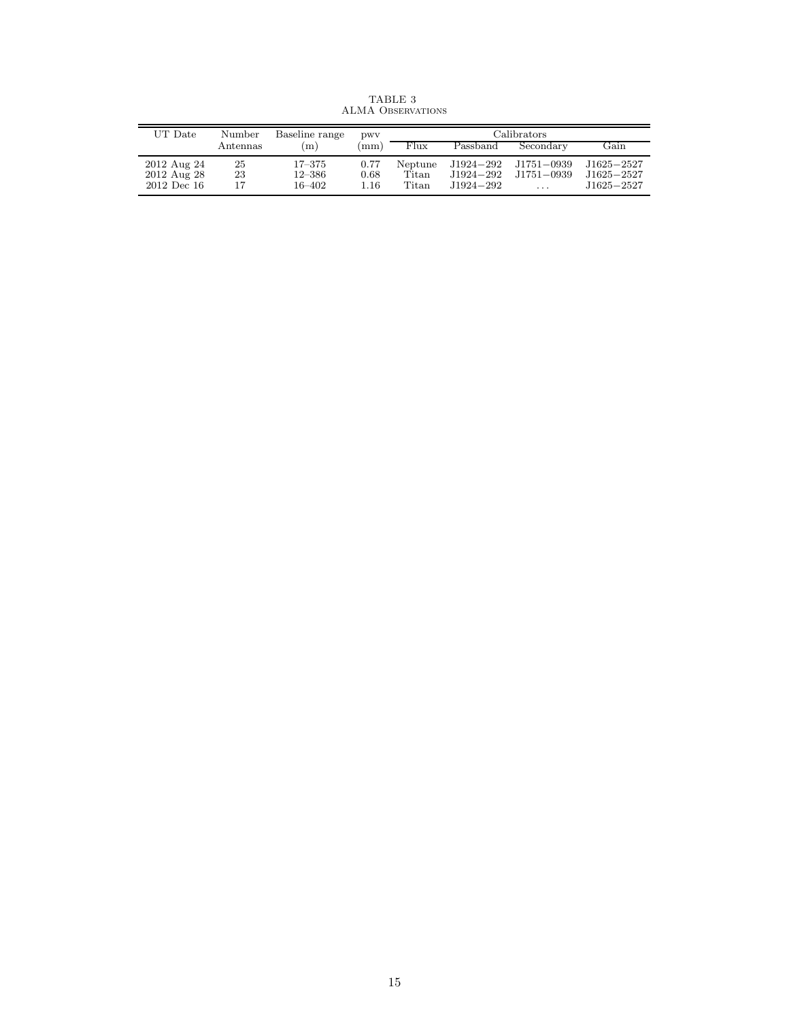<span id="page-14-0"></span>

| UT Date       | Number   | Baseline range | <b>DWV</b> | Calibrators |               |            |                |
|---------------|----------|----------------|------------|-------------|---------------|------------|----------------|
|               | Antennas | (m)            | mm         | Flux        | Passband      | Secondary  | Gain           |
| 2012 Aug 24   | 25       | $17 - 375$     | 0.77       | Neptune     | J1924—292     | J1751—0939 | $J1625 - 2527$ |
| 2012 Aug 28   | 23       | $12 - 386$     | 0.68       | Titan       | $J1924 - 292$ | J1751-0939 | $J1625 - 2527$ |
| $2012$ Dec 16 |          | $16 - 402$     | 1.16       | Titan       | J1924-292     | $\cdots$   | $J1625 - 2527$ |

TABLE 3 ALMA Observations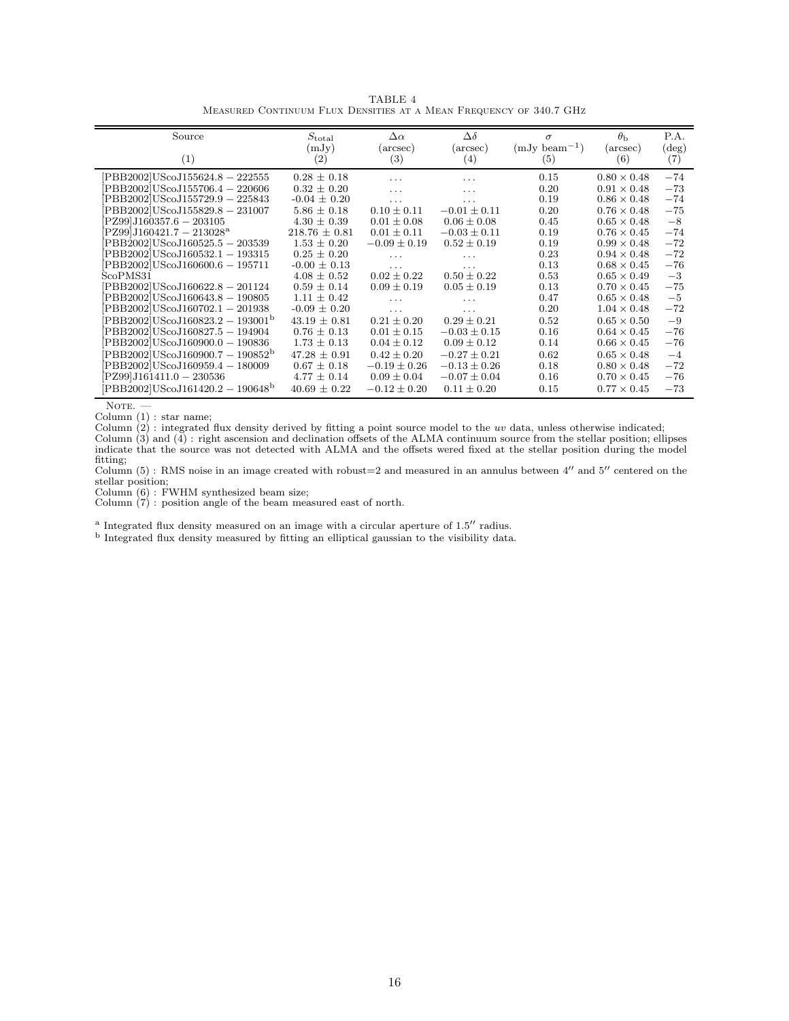TABLE 4 Measured Continuum Flux Densities at a Mean Frequency of 340.7 GHz

<span id="page-15-0"></span>

| Source<br>(1)                                             | $S_{\rm total}$<br>(mJy)<br>(2) | $\Delta \alpha$<br>$(\text{arcsec})$<br>(3) | $\Delta\delta$<br>(arcsec)<br>(4) | $\sigma$<br>$(mJy beam-1)$<br>(5) | $\theta_{\rm h}$<br>(arcsec)<br>(6) | P.A.<br>$(\deg)$<br>(7) |
|-----------------------------------------------------------|---------------------------------|---------------------------------------------|-----------------------------------|-----------------------------------|-------------------------------------|-------------------------|
| [PBB2002]UScoJ155624.8 - 222555                           | $0.28 \pm 0.18$                 | $\ddots$                                    | $\cdots$                          | 0.15                              | $0.80 \times 0.48$                  | $-74$                   |
| PBB2002 UScoJ155706.4 - 220606                            | $0.32 \pm 0.20$                 | $\cdots$                                    | .                                 | 0.20                              | $0.91 \times 0.48$                  | $-73$                   |
| PBB2002 UScoJ155729.9 - 225843                            | $-0.04 \pm 0.20$                | $\cdots$                                    | .                                 | 0.19                              | $0.86 \times 0.48$                  | $-74$                   |
| PBB2002 UScoJ155829.8 - 231007                            | $5.86 \pm 0.18$                 | $0.10 \pm 0.11$                             | $-0.01 \pm 0.11$                  | 0.20                              | $0.76 \times 0.48$                  | $-75$                   |
| PZ99 J160357.6 - 203105]                                  | $4.30 \pm 0.39$                 | $0.01 \pm 0.08$                             | $0.06 \pm 0.08$                   | 0.45                              | $0.65 \times 0.48$                  | $-8$                    |
| $[PZ99]J160421.7 - 213028^a$                              | $218.76 \pm 0.81$               | $0.01 \pm 0.11$                             | $-0.03 \pm 0.11$                  | 0.19                              | $0.76 \times 0.45$                  | $-74$                   |
| PBB2002 UScoJ160525.5 - 203539                            | $1.53 \pm 0.20$                 | $-0.09 \pm 0.19$                            | $0.52 \pm 0.19$                   | 0.19                              | $0.99 \times 0.48$                  | $-72$                   |
| PBB2002 UScoJ160532.1 - 193315                            | $0.25 \pm 0.20$                 | $\cdots$                                    | $\cdot$                           | 0.23                              | $0.94 \times 0.48$                  | $-72$                   |
| PBB2002 UScoJ160600.6 - 195711                            | $-0.00 \pm 0.13$                | $\cdots$                                    | $\cdots$                          | 0.13                              | $0.68 \times 0.45$                  | $-76$                   |
| ScoPMS31                                                  | $4.08 \pm 0.52$                 | $0.02 \pm 0.22$                             | $0.50 \pm 0.22$                   | 0.53                              | $0.65 \times 0.49$                  | $-3$                    |
| [PBB2002]UScoJ160622.8 - 201124                           | $0.59 \pm 0.14$                 | $0.09 \pm 0.19$                             | $0.05 \pm 0.19$                   | 0.13                              | $0.70 \times 0.45$                  | $-75$                   |
| PBB2002 UScoJ160643.8 - 190805]                           | $1.11 \pm 0.42$                 | $\cdots$                                    | $\cdots$                          | 0.47                              | $0.65 \times 0.48$                  | $-5$                    |
| PBB2002 UScoJ160702.1 - 201938                            | $-0.09 \pm 0.20$                | $\cdots$                                    | $\cdots$                          | 0.20                              | $1.04 \times 0.48$                  | $-72$                   |
| PBB2002 UScoJ160823.2 - 193001 <sup>b</sup>               | $43.19 + 0.81$                  | $0.21 + 0.20$                               | $0.29 \pm 0.21$                   | 0.52                              | $0.65 \times 0.50$                  | $-9$                    |
| PBB2002 UScoJ160827.5 - 194904                            | $0.76 \pm 0.13$                 | $0.01 \pm 0.15$                             | $-0.03 \pm 0.15$                  | 0.16                              | $0.64 \times 0.45$                  | $-76$                   |
| PBB2002 UScoJ160900.0 - 190836                            | $1.73 \pm 0.13$                 | $0.04 \pm 0.12$                             | $0.09 \pm 0.12$                   | 0.14                              | $0.66 \times 0.45$                  | $-76$                   |
| $[{\rm PBB2002}]{\rm US}{\rm coJ160900.7}-190852^{\rm b}$ | $47.28 \pm 0.91$                | $0.42 \pm 0.20$                             | $-0.27 \pm 0.21$                  | 0.62                              | $0.65 \times 0.48$                  | $-4$                    |
| PBB2002 UScoJ160959.4 - 180009                            | $0.67 \pm 0.18$                 | $-0.19 \pm 0.26$                            | $-0.13 \pm 0.26$                  | 0.18                              | $0.80 \times 0.48$                  | $-72$                   |
| PZ99 J161411.0 - 230536                                   | $4.77 \pm 0.14$                 | $0.09 \pm 0.04$                             | $-0.07 \pm 0.04$                  | 0.16                              | $0.70 \times 0.45$                  | $-76$                   |
| $[PBB2002]$ UScoJ161420.2 - 190648 <sup>b</sup>           | $40.69 \pm 0.22$                | $-0.12 \pm 0.20$                            | $0.11 \pm 0.20$                   | 0.15                              | $0.77 \times 0.45$                  | $-73$                   |

 $N$ ote.  $-$ 

Column (1) : star name;

Column  $(2)$ : integrated flux density derived by fitting a point source model to the uv data, unless otherwise indicated;

Column (3) and (4) : right ascension and declination offsets of the ALMA continuum source from the stellar position; ellipses indicate that the source was not detected with ALMA and the offsets wered fixed at the stellar position during the model

fitting; Column (5) : RMS noise in an image created with robust=2 and measured in an annulus between 4′′ and 5′′ centered on the stellar position;

Column (6) : FWHM synthesized beam size;

Column  $(7)$ : position angle of the beam measured east of north.

<sup>a</sup> Integrated flux density measured on an image with a circular aperture of 1.5<sup>"</sup> radius.

<sup>b</sup> Integrated flux density measured by fitting an elliptical gaussian to the visibility data.